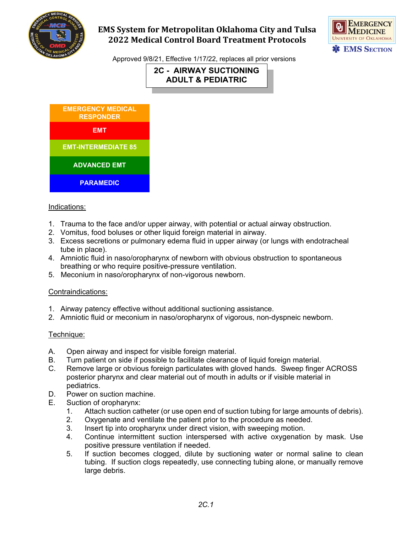

# **EMS System for Metropolitan Oklahoma City and Tulsa 2022 Medical Control Board Treatment Protocols**



Approved 9/8/21, Effective 1/17/22, replaces all prior versions

**2C - AIRWAY SUCTIONING ADULT & PEDIATRIC**



### Indications:

- 1. Trauma to the face and/or upper airway, with potential or actual airway obstruction.
- 2. Vomitus, food boluses or other liquid foreign material in airway.
- 3. Excess secretions or pulmonary edema fluid in upper airway (or lungs with endotracheal tube in place).
- 4. Amniotic fluid in naso/oropharynx of newborn with obvious obstruction to spontaneous breathing or who require positive-pressure ventilation.
- 5. Meconium in naso/oropharynx of non-vigorous newborn.

### Contraindications:

- 1. Airway patency effective without additional suctioning assistance.
- 2. Amniotic fluid or meconium in naso/oropharynx of vigorous, non-dyspneic newborn.

### Technique:

- A. Open airway and inspect for visible foreign material.
- B. Turn patient on side if possible to facilitate clearance of liquid foreign material.
- C. Remove large or obvious foreign particulates with gloved hands. Sweep finger ACROSS posterior pharynx and clear material out of mouth in adults or if visible material in pediatrics.
- D. Power on suction machine.
- E. Suction of oropharynx:
	- 1. Attach suction catheter (or use open end of suction tubing for large amounts of debris).
	- 2. Oxygenate and ventilate the patient prior to the procedure as needed.
	- 3. Insert tip into oropharynx under direct vision, with sweeping motion.
	- 4. Continue intermittent suction interspersed with active oxygenation by mask. Use positive pressure ventilation if needed.
	- 5. If suction becomes clogged, dilute by suctioning water or normal saline to clean tubing. If suction clogs repeatedly, use connecting tubing alone, or manually remove large debris.